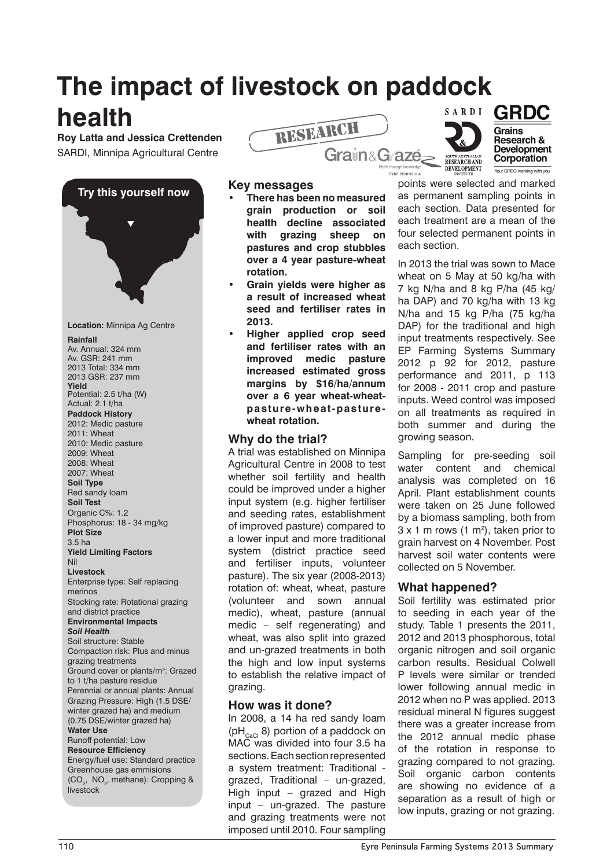# **The impact of livestock on paddock**

# **health**

**Roy Latta and Jessica Crettenden** SARDI, Minnipa Agricultural Centre







#### **Key messages**

- **• There has been no measured grain production or soil health decline associated with grazing sheep on pastures and crop stubbles over a 4 year pasture-wheat rotation.**
- **Grain yields were higher as a result of increased wheat seed and fertiliser rates in 2013.**
- **Higher applied crop seed and fertiliser rates with an improved medic pasture increased estimated gross margins by \$16/ha/annum over a 6 year wheat-wheatpasture-wheat-pasturewheat rotation.**

### **Why do the trial?**

A trial was established on Minnipa Agricultural Centre in 2008 to test whether soil fertility and health could be improved under a higher input system (e.g. higher fertiliser and seeding rates, establishment of improved pasture) compared to a lower input and more traditional system (district practice seed and fertiliser inputs, volunteer pasture). The six year (2008-2013) rotation of: wheat, wheat, pasture (volunteer and sown annual medic), wheat, pasture (annual medic – self regenerating) and wheat, was also split into grazed and un-grazed treatments in both the high and low input systems to establish the relative impact of grazing.

### **How was it done?**

In 2008, a 14 ha red sandy loam  $(pH<sub>CaCl</sub> 8)$  portion of a paddock on MAC was divided into four 3.5 ha sections. Each section represented a system treatment: Traditional grazed, Traditional – un-grazed, High input – grazed and High input – un-grazed. The pasture and grazing treatments were not imposed until 2010. Four sampling

points were selected and marked as permanent sampling points in each section. Data presented for each treatment are a mean of the four selected permanent points in each section.

 $\overline{\phantom{0}}$ 

EYRE PENINSULA

In 2013 the trial was sown to Mace wheat on 5 May at 50 kg/ha with 7 kg N/ha and 8 kg P/ha (45 kg/ ha DAP) and 70 kg/ha with 13 kg N/ha and 15 kg P/ha (75 kg/ha DAP) for the traditional and high input treatments respectively. See EP Farming Systems Summary 2012 p 92 for 2012, pasture performance and 2011, p 113 for 2008 - 2011 crop and pasture inputs. Weed control was imposed on all treatments as required in both summer and during the growing season.

Sampling for pre-seeding soil water content and chemical analysis was completed on 16 April. Plant establishment counts were taken on 25 June followed by a biomass sampling, both from  $3 \times 1$  m rows  $(1 \text{ m}^2)$ , taken prior to grain harvest on 4 November. Post harvest soil water contents were collected on 5 November.

## **What happened?**

Soil fertility was estimated prior to seeding in each year of the study. Table 1 presents the 2011, 2012 and 2013 phosphorous, total organic nitrogen and soil organic carbon results. Residual Colwell P levels were similar or trended lower following annual medic in 2012 when no P was applied. 2013 residual mineral N figures suggest there was a greater increase from the 2012 annual medic phase of the rotation in response to grazing compared to not grazing. Soil organic carbon contents are showing no evidence of a separation as a result of high or low inputs, grazing or not grazing.